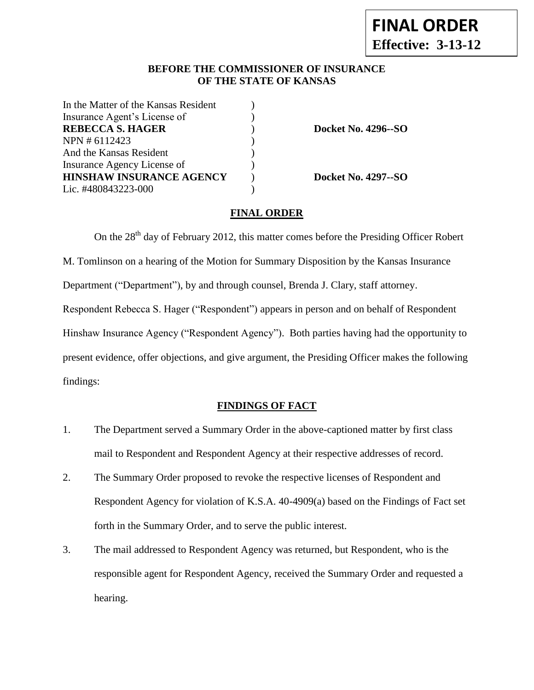# **BEFORE THE COMMISSIONER OF INSURANCE OF THE STATE OF KANSAS**

| In the Matter of the Kansas Resident |  |
|--------------------------------------|--|
| Insurance Agent's License of         |  |
| <b>REBECCA S. HAGER</b>              |  |
| NPN # 6112423                        |  |
| And the Kansas Resident              |  |
| Insurance Agency License of          |  |
| <b>HINSHAW INSURANCE AGENCY</b>      |  |
| Lic. #480843223-000                  |  |
|                                      |  |

**REBECCA S. HAGER** ) **Docket No. 4296--SO**

**HINSHAW INSURANCE AGENCY** ) **Docket No. 4297--SO**

### **FINAL ORDER**

On the  $28<sup>th</sup>$  day of February 2012, this matter comes before the Presiding Officer Robert M. Tomlinson on a hearing of the Motion for Summary Disposition by the Kansas Insurance Department ("Department"), by and through counsel, Brenda J. Clary, staff attorney. Respondent Rebecca S. Hager ("Respondent") appears in person and on behalf of Respondent Hinshaw Insurance Agency ("Respondent Agency"). Both parties having had the opportunity to present evidence, offer objections, and give argument, the Presiding Officer makes the following findings:

## **FINDINGS OF FACT**

- 1. The Department served a Summary Order in the above-captioned matter by first class mail to Respondent and Respondent Agency at their respective addresses of record.
- 2. The Summary Order proposed to revoke the respective licenses of Respondent and Respondent Agency for violation of K.S.A. 40-4909(a) based on the Findings of Fact set forth in the Summary Order, and to serve the public interest.
- 3. The mail addressed to Respondent Agency was returned, but Respondent, who is the responsible agent for Respondent Agency, received the Summary Order and requested a hearing.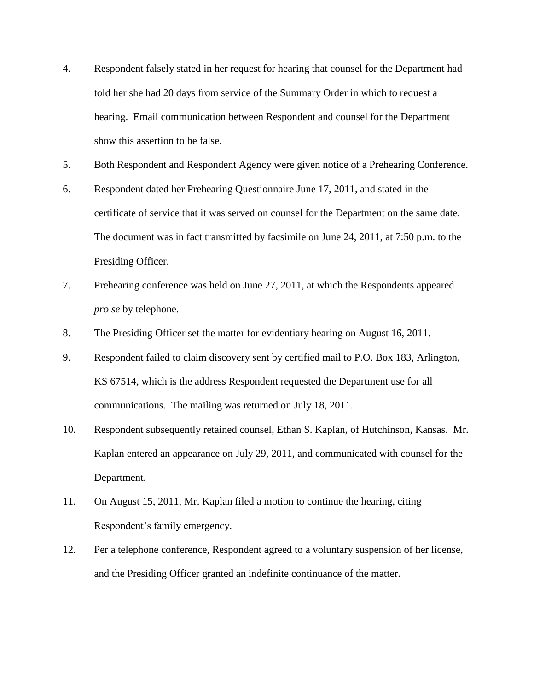- 4. Respondent falsely stated in her request for hearing that counsel for the Department had told her she had 20 days from service of the Summary Order in which to request a hearing. Email communication between Respondent and counsel for the Department show this assertion to be false.
- 5. Both Respondent and Respondent Agency were given notice of a Prehearing Conference.
- 6. Respondent dated her Prehearing Questionnaire June 17, 2011, and stated in the certificate of service that it was served on counsel for the Department on the same date. The document was in fact transmitted by facsimile on June 24, 2011, at 7:50 p.m. to the Presiding Officer.
- 7. Prehearing conference was held on June 27, 2011, at which the Respondents appeared *pro se* by telephone.
- 8. The Presiding Officer set the matter for evidentiary hearing on August 16, 2011.
- 9. Respondent failed to claim discovery sent by certified mail to P.O. Box 183, Arlington, KS 67514, which is the address Respondent requested the Department use for all communications. The mailing was returned on July 18, 2011.
- 10. Respondent subsequently retained counsel, Ethan S. Kaplan, of Hutchinson, Kansas. Mr. Kaplan entered an appearance on July 29, 2011, and communicated with counsel for the Department.
- 11. On August 15, 2011, Mr. Kaplan filed a motion to continue the hearing, citing Respondent's family emergency.
- 12. Per a telephone conference, Respondent agreed to a voluntary suspension of her license, and the Presiding Officer granted an indefinite continuance of the matter.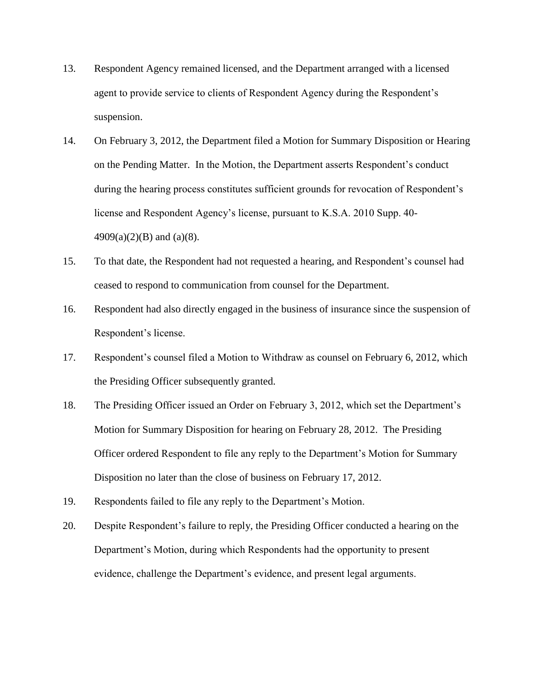- 13. Respondent Agency remained licensed, and the Department arranged with a licensed agent to provide service to clients of Respondent Agency during the Respondent's suspension.
- 14. On February 3, 2012, the Department filed a Motion for Summary Disposition or Hearing on the Pending Matter. In the Motion, the Department asserts Respondent's conduct during the hearing process constitutes sufficient grounds for revocation of Respondent's license and Respondent Agency's license, pursuant to K.S.A. 2010 Supp. 40-  $4909(a)(2)(B)$  and  $(a)(8)$ .
- 15. To that date, the Respondent had not requested a hearing, and Respondent's counsel had ceased to respond to communication from counsel for the Department.
- 16. Respondent had also directly engaged in the business of insurance since the suspension of Respondent's license.
- 17. Respondent's counsel filed a Motion to Withdraw as counsel on February 6, 2012, which the Presiding Officer subsequently granted.
- 18. The Presiding Officer issued an Order on February 3, 2012, which set the Department's Motion for Summary Disposition for hearing on February 28, 2012. The Presiding Officer ordered Respondent to file any reply to the Department's Motion for Summary Disposition no later than the close of business on February 17, 2012.
- 19. Respondents failed to file any reply to the Department's Motion.
- 20. Despite Respondent's failure to reply, the Presiding Officer conducted a hearing on the Department's Motion, during which Respondents had the opportunity to present evidence, challenge the Department's evidence, and present legal arguments.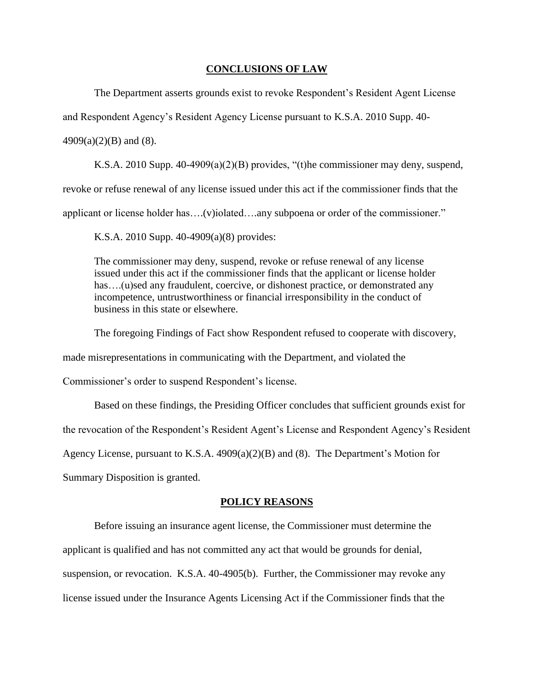#### **CONCLUSIONS OF LAW**

The Department asserts grounds exist to revoke Respondent's Resident Agent License

and Respondent Agency's Resident Agency License pursuant to K.S.A. 2010 Supp. 40-

 $4909(a)(2)(B)$  and (8).

K.S.A. 2010 Supp. 40-4909(a)(2)(B) provides, "(t)he commissioner may deny, suspend,

revoke or refuse renewal of any license issued under this act if the commissioner finds that the

applicant or license holder has….(v)iolated….any subpoena or order of the commissioner."

K.S.A. 2010 Supp. 40-4909(a)(8) provides:

The commissioner may deny, suspend, revoke or refuse renewal of any license issued under this act if the commissioner finds that the applicant or license holder has....(u)sed any fraudulent, coercive, or dishonest practice, or demonstrated any incompetence, untrustworthiness or financial irresponsibility in the conduct of business in this state or elsewhere.

The foregoing Findings of Fact show Respondent refused to cooperate with discovery,

made misrepresentations in communicating with the Department, and violated the

Commissioner's order to suspend Respondent's license.

Based on these findings, the Presiding Officer concludes that sufficient grounds exist for

the revocation of the Respondent's Resident Agent's License and Respondent Agency's Resident

Agency License, pursuant to K.S.A. 4909(a)(2)(B) and (8). The Department's Motion for

Summary Disposition is granted.

#### **POLICY REASONS**

Before issuing an insurance agent license, the Commissioner must determine the applicant is qualified and has not committed any act that would be grounds for denial, suspension, or revocation. K.S.A. 40-4905(b). Further, the Commissioner may revoke any license issued under the Insurance Agents Licensing Act if the Commissioner finds that the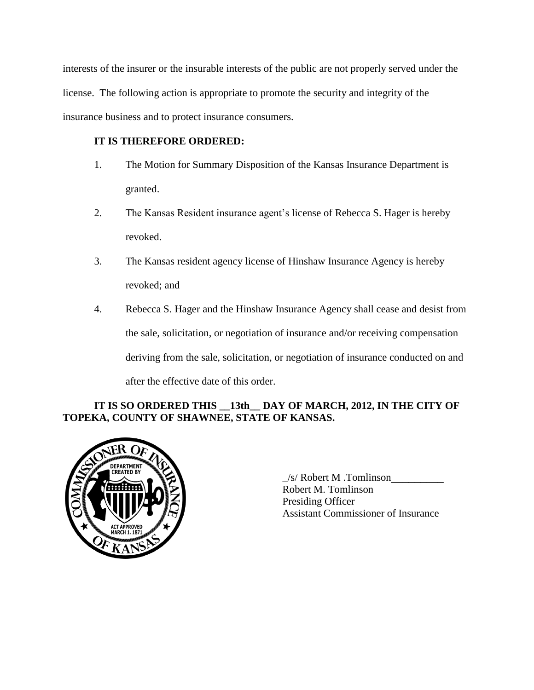interests of the insurer or the insurable interests of the public are not properly served under the license. The following action is appropriate to promote the security and integrity of the insurance business and to protect insurance consumers.

# **IT IS THEREFORE ORDERED:**

- 1. The Motion for Summary Disposition of the Kansas Insurance Department is granted.
- 2. The Kansas Resident insurance agent's license of Rebecca S. Hager is hereby revoked.
- 3. The Kansas resident agency license of Hinshaw Insurance Agency is hereby revoked; and
- 4. Rebecca S. Hager and the Hinshaw Insurance Agency shall cease and desist from the sale, solicitation, or negotiation of insurance and/or receiving compensation deriving from the sale, solicitation, or negotiation of insurance conducted on and after the effective date of this order.

# **IT IS SO ORDERED THIS \_\_13th\_\_ DAY OF MARCH, 2012, IN THE CITY OF TOPEKA, COUNTY OF SHAWNEE, STATE OF KANSAS.**



\_/s/ Robert M .Tomlinson\_\_\_\_\_\_\_\_\_ Robert M. Tomlinson Presiding Officer Assistant Commissioner of Insurance